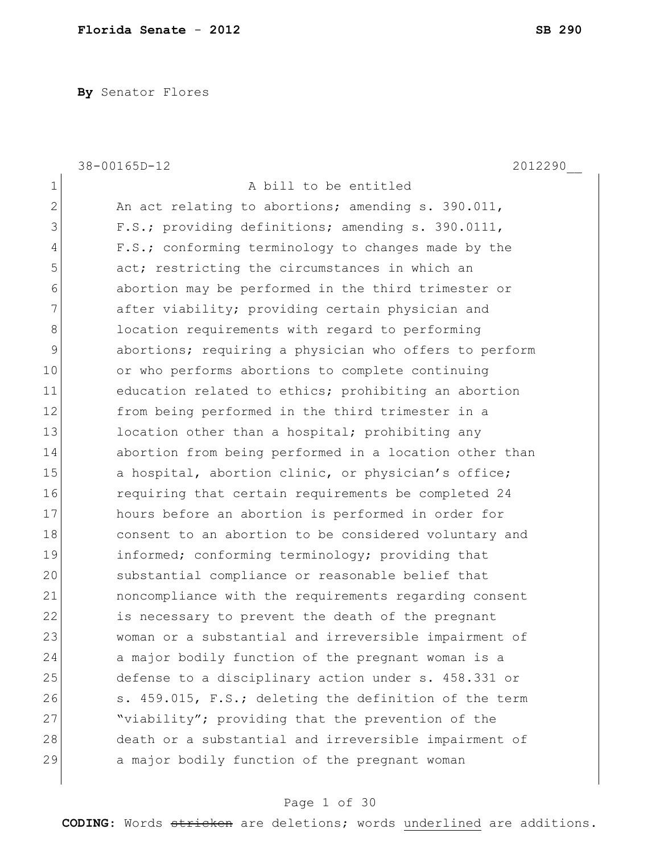**By** Senator Flores

|              | 38-00165D-12<br>2012290                                |
|--------------|--------------------------------------------------------|
| $\mathbf 1$  | A bill to be entitled                                  |
| $\mathbf{2}$ | An act relating to abortions; amending s. 390.011,     |
| 3            | F.S.; providing definitions; amending s. 390.0111,     |
| 4            | F.S.; conforming terminology to changes made by the    |
| 5            | act; restricting the circumstances in which an         |
| 6            | abortion may be performed in the third trimester or    |
| 7            | after viability; providing certain physician and       |
| 8            | location requirements with regard to performing        |
| 9            | abortions; requiring a physician who offers to perform |
| 10           | or who performs abortions to complete continuing       |
| 11           | education related to ethics; prohibiting an abortion   |
| 12           | from being performed in the third trimester in a       |
| 13           | location other than a hospital; prohibiting any        |
| 14           | abortion from being performed in a location other than |
| 15           | a hospital, abortion clinic, or physician's office;    |
| 16           | requiring that certain requirements be completed 24    |
| 17           | hours before an abortion is performed in order for     |
| 18           | consent to an abortion to be considered voluntary and  |
| 19           | informed; conforming terminology; providing that       |
| 20           | substantial compliance or reasonable belief that       |
| 21           | noncompliance with the requirements regarding consent  |
| 22           | is necessary to prevent the death of the pregnant      |
| 23           | woman or a substantial and irreversible impairment of  |
| 24           | a major bodily function of the pregnant woman is a     |
| 25           | defense to a disciplinary action under s. 458.331 or   |
| 26           | s. 459.015, F.S.; deleting the definition of the term  |
| 27           | "viability"; providing that the prevention of the      |
| 28           | death or a substantial and irreversible impairment of  |
| 29           | a major bodily function of the pregnant woman          |
|              |                                                        |

# Page 1 of 30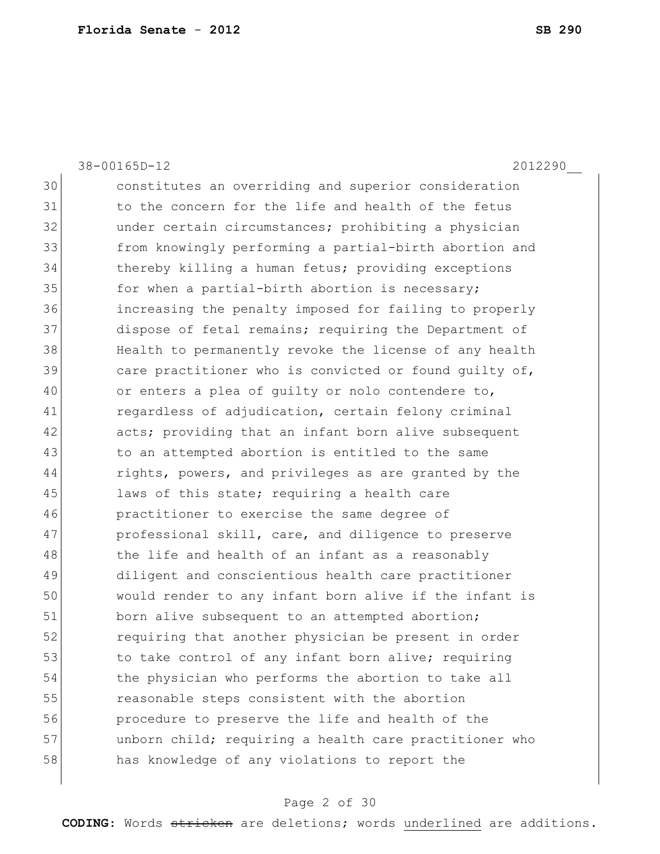38-00165D-12 2012290\_\_

30 constitutes an overriding and superior consideration 31 to the concern for the life and health of the fetus 32 under certain circumstances; prohibiting a physician 33 from knowingly performing a partial-birth abortion and 34 thereby killing a human fetus; providing exceptions 35 for when a partial-birth abortion is necessary; 36 increasing the penalty imposed for failing to properly 37 dispose of fetal remains; requiring the Department of 38 Health to permanently revoke the license of any health 39 care practitioner who is convicted or found quilty of, 40 or enters a plea of quilty or nolo contendere to, 41 regardless of adjudication, certain felony criminal 42 acts; providing that an infant born alive subsequent 43 Theory is a to an attempted abortion is entitled to the same 44 rights, powers, and privileges as are granted by the 45 laws of this state; requiring a health care 46 practitioner to exercise the same degree of 47 professional skill, care, and diligence to preserve 48 the life and health of an infant as a reasonably 49 diligent and conscientious health care practitioner 50 would render to any infant born alive if the infant is 51 born alive subsequent to an attempted abortion; 52 requiring that another physician be present in order 53 to take control of any infant born alive; requiring 54 the physician who performs the abortion to take all 55 reasonable steps consistent with the abortion 56 procedure to preserve the life and health of the 57 and unborn child; requiring a health care practitioner who 58 has knowledge of any violations to report the

#### Page 2 of 30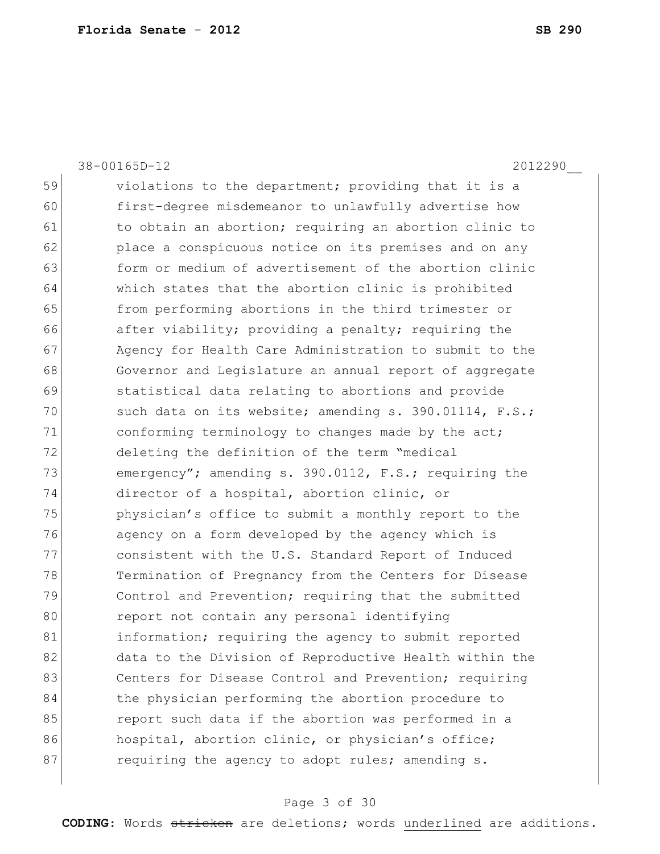38-00165D-12 2012290\_\_ 59 violations to the department; providing that it is a 60 first-degree misdemeanor to unlawfully advertise how 61 to obtain an abortion; requiring an abortion clinic to 62 place a conspicuous notice on its premises and on any 63 form or medium of advertisement of the abortion clinic 64 which states that the abortion clinic is prohibited 65 from performing abortions in the third trimester or 66 after viability; providing a penalty; requiring the 67 Agency for Health Care Administration to submit to the 68 Governor and Legislature an annual report of aggregate 69 statistical data relating to abortions and provide 70  $\vert$  such data on its website; amending s. 390.01114, F.S.; 71 conforming terminology to changes made by the act; 72 deleting the definition of the term "medical 73 emergency"; amending s. 390.0112, F.S.; requiring the 74 director of a hospital, abortion clinic, or 75 physician's office to submit a monthly report to the 76 agency on a form developed by the agency which is 77 consistent with the U.S. Standard Report of Induced 78 Termination of Pregnancy from the Centers for Disease 79 Control and Prevention; requiring that the submitted 80 report not contain any personal identifying 81 information; requiring the agency to submit reported 82 data to the Division of Reproductive Health within the 83 Centers for Disease Control and Prevention; requiring 84 the physician performing the abortion procedure to 85 **report such data if the abortion was performed in a** 86 hospital, abortion clinic, or physician's office; 87 requiring the agency to adopt rules; amending s.

#### Page 3 of 30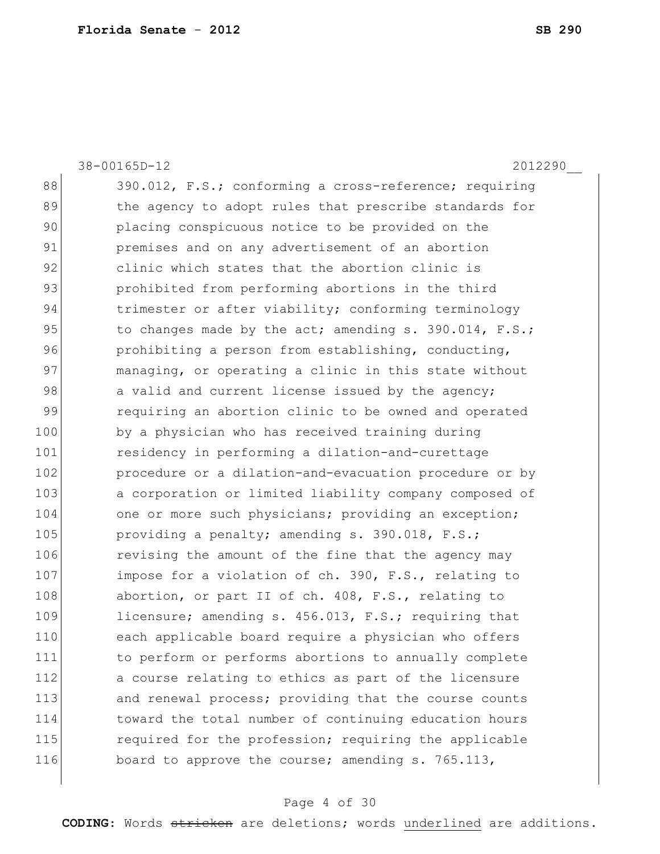38-00165D-12 2012290\_\_ 88 390.012, F.S.; conforming a cross-reference; requiring 89 the agency to adopt rules that prescribe standards for 90 placing conspicuous notice to be provided on the 91 **premises and on any advertisement of an abortion** 92 clinic which states that the abortion clinic is 93 prohibited from performing abortions in the third 94 trimester or after viability; conforming terminology 95 to changes made by the act; amending  $s. 390.014$ ,  $F.S.;$ 96 prohibiting a person from establishing, conducting, 97 managing, or operating a clinic in this state without 98 a valid and current license issued by the agency; 99 requiring an abortion clinic to be owned and operated 100 by a physician who has received training during 101 residency in performing a dilation-and-curettage 102 **procedure or a dilation-and-evacuation procedure or by** 103 a corporation or limited liability company composed of 104 one or more such physicians; providing an exception; 105 providing a penalty; amending s. 390.018, F.S.; 106 revising the amount of the fine that the agency may 107 impose for a violation of ch. 390, F.S., relating to 108 abortion, or part II of ch. 408, F.S., relating to 109 licensure; amending s. 456.013, F.S.; requiring that 110 each applicable board require a physician who offers 111 to perform or performs abortions to annually complete 112 a course relating to ethics as part of the licensure 113 and renewal process; providing that the course counts 114 toward the total number of continuing education hours 115 required for the profession; requiring the applicable 116 board to approve the course; amending s. 765.113,

#### Page 4 of 30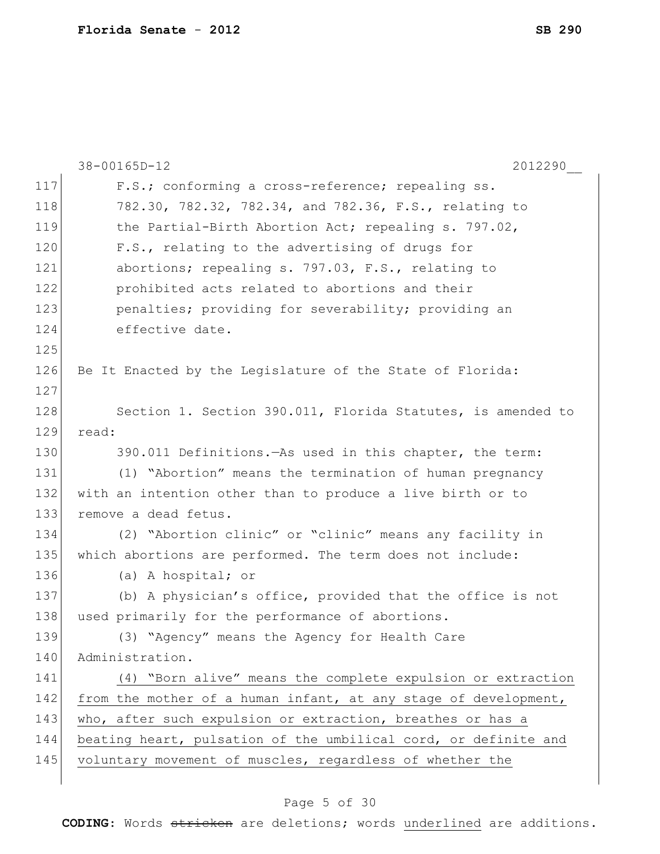|     | 38-00165D-12<br>2012290                                         |
|-----|-----------------------------------------------------------------|
| 117 | F.S.; conforming a cross-reference; repealing ss.               |
| 118 | 782.30, 782.32, 782.34, and 782.36, F.S., relating to           |
| 119 | the Partial-Birth Abortion Act; repealing s. 797.02,            |
| 120 | F.S., relating to the advertising of drugs for                  |
| 121 | abortions; repealing s. 797.03, F.S., relating to               |
| 122 | prohibited acts related to abortions and their                  |
| 123 | penalties; providing for severability; providing an             |
| 124 | effective date.                                                 |
| 125 |                                                                 |
| 126 | Be It Enacted by the Legislature of the State of Florida:       |
| 127 |                                                                 |
| 128 | Section 1. Section 390.011, Florida Statutes, is amended to     |
| 129 | read:                                                           |
| 130 | 390.011 Definitions. - As used in this chapter, the term:       |
| 131 | (1) "Abortion" means the termination of human pregnancy         |
| 132 | with an intention other than to produce a live birth or to      |
| 133 | remove a dead fetus.                                            |
| 134 | (2) "Abortion clinic" or "clinic" means any facility in         |
| 135 | which abortions are performed. The term does not include:       |
| 136 | (a) A hospital; or                                              |
| 137 | (b) A physician's office, provided that the office is not       |
| 138 | used primarily for the performance of abortions.                |
| 139 | (3) "Agency" means the Agency for Health Care                   |
| 140 | Administration.                                                 |
| 141 | (4) "Born alive" means the complete expulsion or extraction     |
| 142 | from the mother of a human infant, at any stage of development, |
| 143 | who, after such expulsion or extraction, breathes or has a      |
| 144 | beating heart, pulsation of the umbilical cord, or definite and |
| 145 | voluntary movement of muscles, regardless of whether the        |
|     |                                                                 |

# Page 5 of 30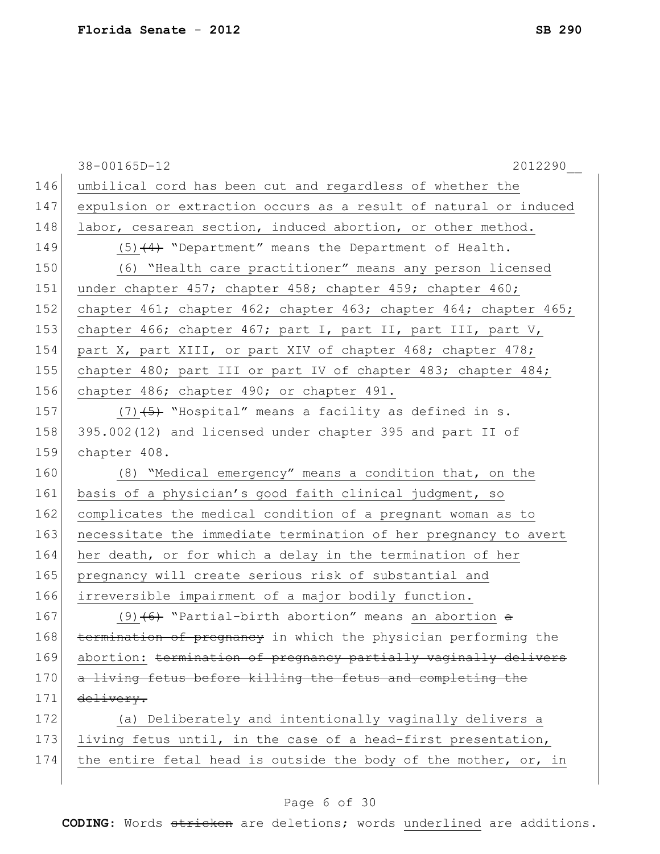|     | 38-00165D-12<br>2012290                                          |
|-----|------------------------------------------------------------------|
| 146 | umbilical cord has been cut and regardless of whether the        |
| 147 | expulsion or extraction occurs as a result of natural or induced |
| 148 | labor, cesarean section, induced abortion, or other method.      |
| 149 | $(5)$ $(4)$ "Department" means the Department of Health.         |
| 150 | (6) "Health care practitioner" means any person licensed         |
| 151 | under chapter 457; chapter 458; chapter 459; chapter 460;        |
| 152 | chapter 461; chapter 462; chapter 463; chapter 464; chapter 465; |
| 153 | chapter 466; chapter 467; part I, part II, part III, part V,     |
| 154 | part X, part XIII, or part XIV of chapter 468; chapter 478;      |
| 155 | chapter 480; part III or part IV of chapter 483; chapter 484;    |
| 156 | chapter 486; chapter 490; or chapter 491.                        |
| 157 | $(7)$ $(5)$ "Hospital" means a facility as defined in s.         |
| 158 | 395.002(12) and licensed under chapter 395 and part II of        |
| 159 | chapter 408.                                                     |
| 160 | (8) "Medical emergency" means a condition that, on the           |
| 161 | basis of a physician's good faith clinical judgment, so          |
| 162 | complicates the medical condition of a pregnant woman as to      |
| 163 | necessitate the immediate termination of her pregnancy to avert  |
| 164 | her death, or for which a delay in the termination of her        |
| 165 | pregnancy will create serious risk of substantial and            |
| 166 | irreversible impairment of a major bodily function.              |
| 167 | $(9)$ $(6)$ "Partial-birth abortion" means an abortion $\theta$  |
| 168 | termination of pregnancy in which the physician performing the   |
| 169 | abortion: termination of pregnancy partially vaginally delivers  |
| 170 | a living fetus before killing the fetus and completing the       |
| 171 | delivery.                                                        |
| 172 | (a) Deliberately and intentionally vaginally delivers a          |
| 173 | living fetus until, in the case of a head-first presentation,    |
| 174 | the entire fetal head is outside the body of the mother, or, in  |
|     |                                                                  |

# Page 6 of 30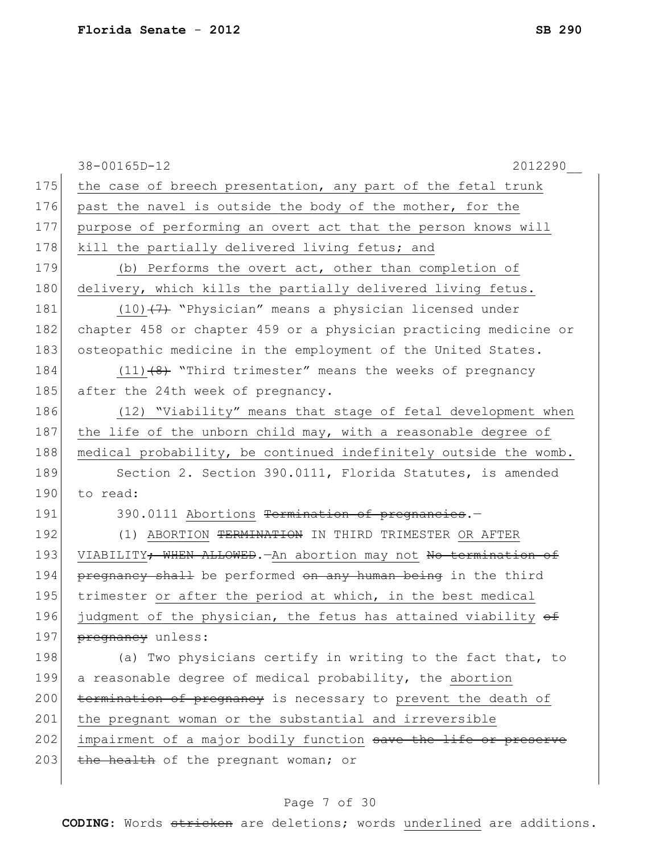|     | 38-00165D-12<br>2012290                                                       |
|-----|-------------------------------------------------------------------------------|
| 175 | the case of breech presentation, any part of the fetal trunk                  |
| 176 | past the navel is outside the body of the mother, for the                     |
| 177 | purpose of performing an overt act that the person knows will                 |
| 178 | kill the partially delivered living fetus; and                                |
| 179 | (b) Performs the overt act, other than completion of                          |
| 180 | delivery, which kills the partially delivered living fetus.                   |
| 181 | $(10)$ $(7)$ "Physician" means a physician licensed under                     |
| 182 | chapter 458 or chapter 459 or a physician practicing medicine or              |
| 183 | osteopathic medicine in the employment of the United States.                  |
| 184 | $(11)$ $(8)$ "Third trimester" means the weeks of pregnancy                   |
| 185 | after the 24th week of pregnancy.                                             |
| 186 | (12) "Viability" means that stage of fetal development when                   |
| 187 | the life of the unborn child may, with a reasonable degree of                 |
| 188 | medical probability, be continued indefinitely outside the womb.              |
| 189 | Section 2. Section 390.0111, Florida Statutes, is amended                     |
| 190 | to read:                                                                      |
| 191 | 390.0111 Abortions Termination of pregnancies.-                               |
| 192 | (1) ABORTION TERMINATION IN THIRD TRIMESTER OR AFTER                          |
| 193 | VIABILITY <del>; WHEN ALLOWED</del> . - An abortion may not No termination of |
| 194 | pregnancy shall be performed on any human being in the third                  |
| 195 | trimester or after the period at which, in the best medical                   |
| 196 | judgment of the physician, the fetus has attained viability of                |
| 197 | pregnancy unless:                                                             |
| 198 | (a) Two physicians certify in writing to the fact that, to                    |
| 199 | a reasonable degree of medical probability, the abortion                      |
| 200 | termination of pregnancy is necessary to prevent the death of                 |
| 201 | the pregnant woman or the substantial and irreversible                        |
| 202 | impairment of a major bodily function save the life or preserve               |
| 203 | the health of the pregnant woman; or                                          |
|     |                                                                               |

# Page 7 of 30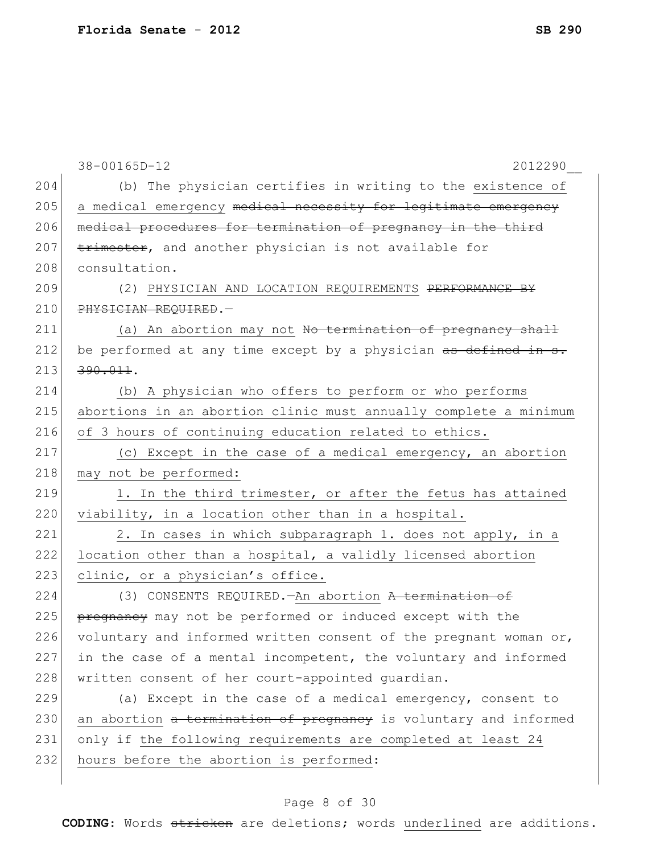|     | 38-00165D-12<br>2012290                                          |
|-----|------------------------------------------------------------------|
| 204 | (b) The physician certifies in writing to the existence of       |
| 205 | a medical emergency medical necessity for legitimate emergency   |
| 206 | medical procedures for termination of pregnancy in the third     |
| 207 | trimester, and another physician is not available for            |
| 208 | consultation.                                                    |
| 209 | (2) PHYSICIAN AND LOCATION REQUIREMENTS PERFORMANCE BY           |
| 210 | PHYSICIAN REQUIRED. -                                            |
| 211 | (a) An abortion may not No termination of pregnancy shall        |
| 212 | be performed at any time except by a physician as defined in s.  |
| 213 | $390.011$ .                                                      |
| 214 | (b) A physician who offers to perform or who performs            |
| 215 | abortions in an abortion clinic must annually complete a minimum |
| 216 | of 3 hours of continuing education related to ethics.            |
| 217 | (c) Except in the case of a medical emergency, an abortion       |
| 218 | may not be performed:                                            |
| 219 | 1. In the third trimester, or after the fetus has attained       |
| 220 | viability, in a location other than in a hospital.               |
| 221 | 2. In cases in which subparagraph 1. does not apply, in a        |
| 222 | location other than a hospital, a validly licensed abortion      |
| 223 | clinic, or a physician's office.                                 |
| 224 | (3) CONSENTS REQUIRED. - An abortion A termination of            |
| 225 | pregnancy may not be performed or induced except with the        |
| 226 | voluntary and informed written consent of the pregnant woman or, |
| 227 | in the case of a mental incompetent, the voluntary and informed  |
| 228 | written consent of her court-appointed quardian.                 |
| 229 | (a) Except in the case of a medical emergency, consent to        |
| 230 | an abortion a termination of pregnancy is voluntary and informed |
| 231 | only if the following requirements are completed at least 24     |
| 232 | hours before the abortion is performed:                          |
|     |                                                                  |

# Page 8 of 30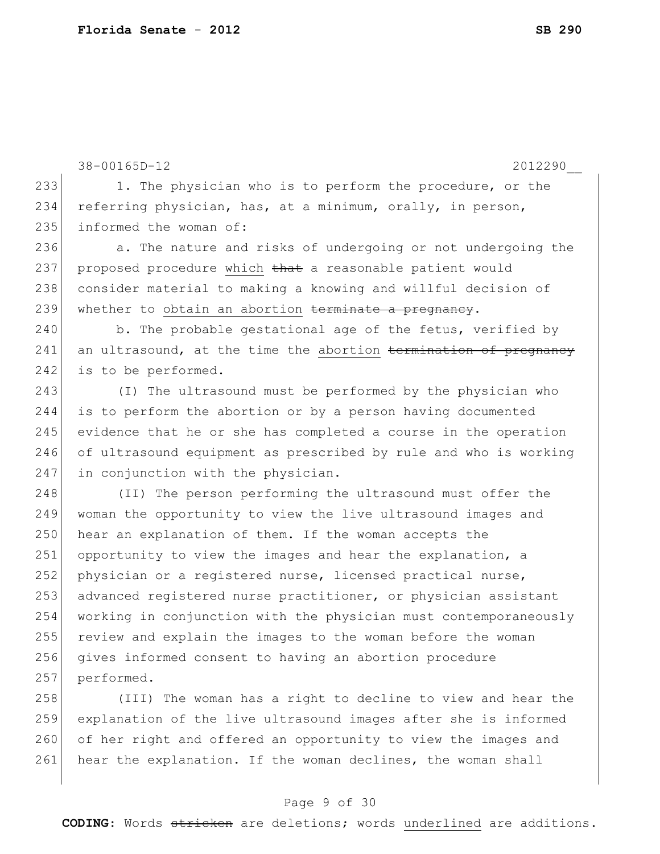```
38-00165D-12 2012290__
233 1. The physician who is to perform the procedure, or the
234 referring physician, has, at a minimum, orally, in person,
235 informed the woman of:
236 a. The nature and risks of undergoing or not undergoing the
237 proposed procedure which that a reasonable patient would
238 consider material to making a knowing and willful decision of
239 whether to obtain an abortion terminate a pregnancy.
240 b. The probable gestational age of the fetus, verified by
241 an ultrasound, at the time the abortion termination of pregnancy
242 is to be performed.
243 (I) The ultrasound must be performed by the physician who
244 is to perform the abortion or by a person having documented
245 evidence that he or she has completed a course in the operation 
246 of ultrasound equipment as prescribed by rule and who is working 
247 in conjunction with the physician.
248 (II) The person performing the ultrasound must offer the
249 woman the opportunity to view the live ultrasound images and 
250 hear an explanation of them. If the woman accepts the
251 opportunity to view the images and hear the explanation, a
252 physician or a registered nurse, licensed practical nurse,
253 advanced registered nurse practitioner, or physician assistant 
254 working in conjunction with the physician must contemporaneously 
255 review and explain the images to the woman before the woman 
256 gives informed consent to having an abortion procedure
257 performed.
258 (III) The woman has a right to decline to view and hear the
259 explanation of the live ultrasound images after she is informed
```
Page 9 of 30

260 of her right and offered an opportunity to view the images and

261 hear the explanation. If the woman declines, the woman shall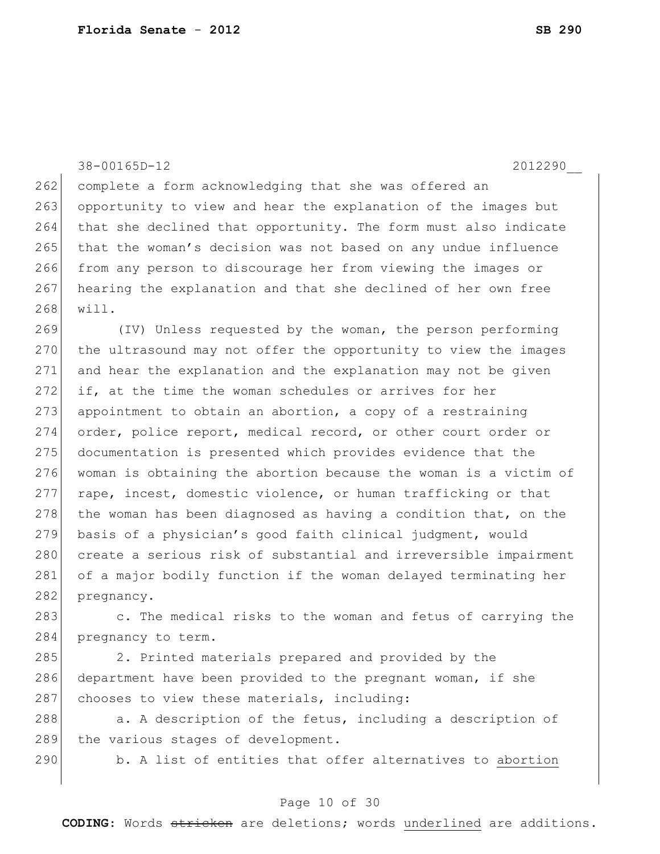38-00165D-12 2012290\_\_

262 complete a form acknowledging that she was offered an 263 opportunity to view and hear the explanation of the images but 264 that she declined that opportunity. The form must also indicate 265 that the woman's decision was not based on any undue influence 266 from any person to discourage her from viewing the images or 267 hearing the explanation and that she declined of her own free 268 will.

269 (IV) Unless requested by the woman, the person performing 270 the ultrasound may not offer the opportunity to view the images 271 and hear the explanation and the explanation may not be given 272 if, at the time the woman schedules or arrives for her 273 appointment to obtain an abortion, a copy of a restraining 274 order, police report, medical record, or other court order or 275 documentation is presented which provides evidence that the 276 woman is obtaining the abortion because the woman is a victim of  $277$  rape, incest, domestic violence, or human trafficking or that 278 the woman has been diagnosed as having a condition that, on the 279 basis of a physician's good faith clinical judgment, would 280 create a serious risk of substantial and irreversible impairment 281 of a major bodily function if the woman delayed terminating her 282 pregnancy.

283 c. The medical risks to the woman and fetus of carrying the 284 pregnancy to term.

285 2. Printed materials prepared and provided by the 286 department have been provided to the pregnant woman, if she  $287$  chooses to view these materials, including:

288 a. A description of the fetus, including a description of 289 the various stages of development.

290 b. A list of entities that offer alternatives to abortion

#### Page 10 of 30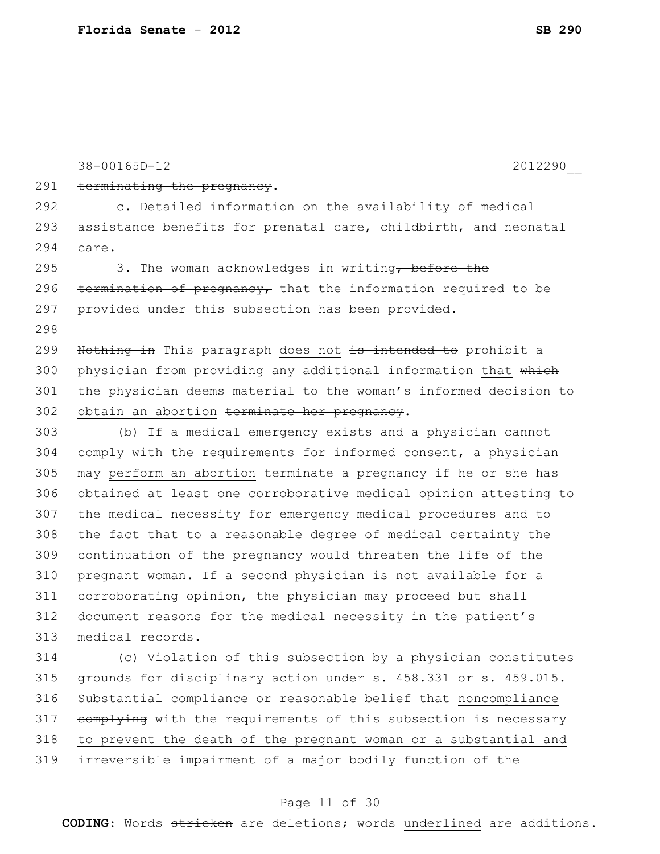38-00165D-12 2012290\_\_ 291 terminating the pregnancy. c. Detailed information on the availability of medical 293 assistance benefits for prenatal care, childbirth, and neonatal care. 295 3. The woman acknowledges in writing, before the 296 termination of pregnancy, that the information required to be 297 provided under this subsection has been provided. 299 Nothing in This paragraph does not is intended to prohibit a 300 physician from providing any additional information that which the physician deems material to the woman's informed decision to obtain an abortion terminate her pregnancy. (b) If a medical emergency exists and a physician cannot comply with the requirements for informed consent, a physician 305 may perform an abortion terminate a pregnancy if he or she has obtained at least one corroborative medical opinion attesting to the medical necessity for emergency medical procedures and to the fact that to a reasonable degree of medical certainty the continuation of the pregnancy would threaten the life of the pregnant woman. If a second physician is not available for a corroborating opinion, the physician may proceed but shall document reasons for the medical necessity in the patient's medical records. (c) Violation of this subsection by a physician constitutes grounds for disciplinary action under s. 458.331 or s. 459.015. Substantial compliance or reasonable belief that noncompliance 317 complying with the requirements of this subsection is necessary to prevent the death of the pregnant woman or a substantial and irreversible impairment of a major bodily function of the

#### Page 11 of 30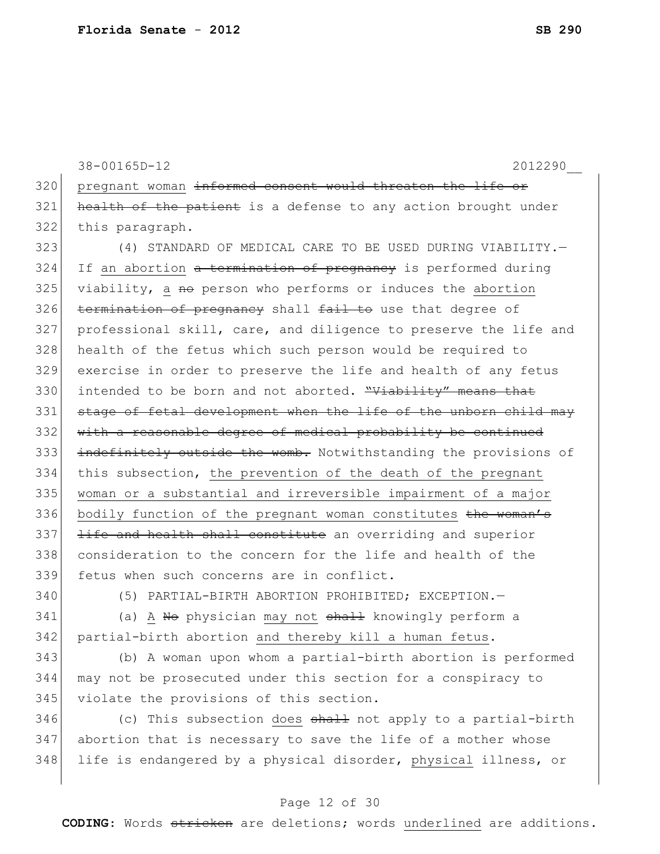38-00165D-12 2012290\_\_ 320 pregnant woman informed consent would threaten the life or  $321$  health of the patient is a defense to any action brought under 322 this paragraph.

 (4) STANDARD OF MEDICAL CARE TO BE USED DURING VIABILITY.— If an abortion a termination of pregnancy is performed during viability, a no person who performs or induces the abortion termination of pregnancy shall fail to use that degree of professional skill, care, and diligence to preserve the life and health of the fetus which such person would be required to exercise in order to preserve the life and health of any fetus 330 intended to be born and not aborted. "Viability" means that 331 stage of fetal development when the life of the unborn child may 332 with a reasonable degree of medical probability be continued 333 indefinitely outside the womb. Notwithstanding the provisions of this subsection, the prevention of the death of the pregnant woman or a substantial and irreversible impairment of a major 336 bodily function of the pregnant woman constitutes the woman's 337 <del>life and health shall constitute</del> an overriding and superior consideration to the concern for the life and health of the fetus when such concerns are in conflict.

340 (5) PARTIAL-BIRTH ABORTION PROHIBITED; EXCEPTION.—

341 (a) A No physician may not shall knowingly perform a 342 partial-birth abortion and thereby kill a human fetus.

343 (b) A woman upon whom a partial-birth abortion is performed 344 may not be prosecuted under this section for a conspiracy to 345 violate the provisions of this section.

346  $\vert$  (c) This subsection does  $\frac{1}{2}$  and  $\frac{1}{2}$  to a partial-birth 347 abortion that is necessary to save the life of a mother whose 348 life is endangered by a physical disorder, physical illness, or

#### Page 12 of 30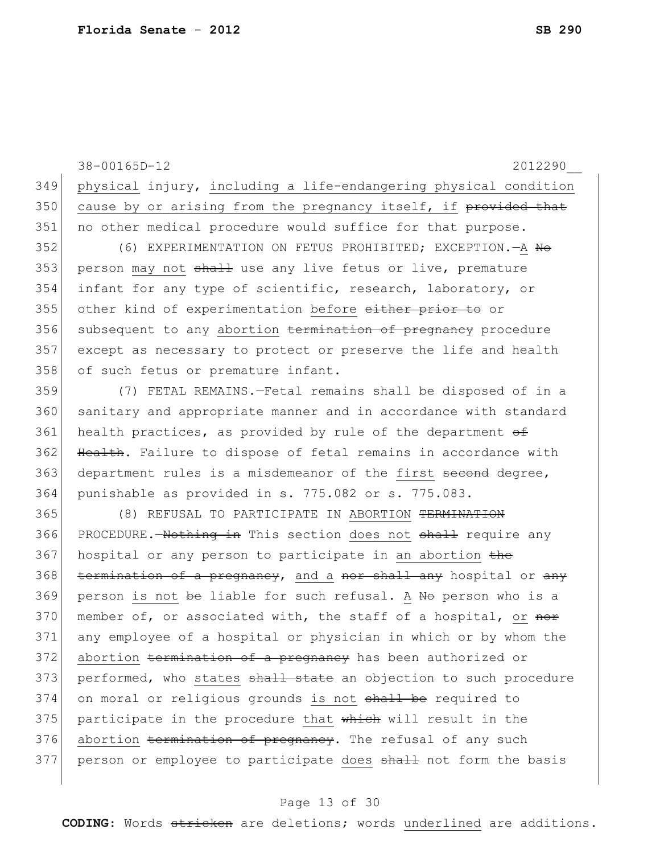38-00165D-12 2012290\_\_ 349 physical injury, including a life-endangering physical condition 350 cause by or arising from the pregnancy itself, if  $previded$  that 351 no other medical procedure would suffice for that purpose. 352 (6) EXPERIMENTATION ON FETUS PROHIBITED; EXCEPTION. A <del>No</del> 353 person may not shall use any live fetus or live, premature 354 infant for any type of scientific, research, laboratory, or 355 other kind of experimentation before either prior to or 356 subsequent to any abortion termination of pregnancy procedure 357 except as necessary to protect or preserve the life and health 358 of such fetus or premature infant. 359 (7) FETAL REMAINS.—Fetal remains shall be disposed of in a 360 sanitary and appropriate manner and in accordance with standard 361 health practices, as provided by rule of the department  $\theta$ 362 Health. Failure to dispose of fetal remains in accordance with 363 department rules is a misdemeanor of the first second degree, 364 punishable as provided in s. 775.082 or s. 775.083. 365 (8) REFUSAL TO PARTICIPATE IN ABORTION TERMINATION 366 PROCEDURE.—Nothing in This section does not shall require any 367 hospital or any person to participate in an abortion the 368 termination of a pregnancy, and a nor shall any hospital or any 369 person is not be liable for such refusal. A No person who is a 370 member of, or associated with, the staff of a hospital, or  $\theta$ 371 any employee of a hospital or physician in which or by whom the 372 abortion termination of a pregnancy has been authorized or 373 performed, who states shall state an objection to such procedure 374 on moral or religious grounds is not shall be required to 375 participate in the procedure that which will result in the 376 abortion termination of pregnancy. The refusal of any such 377 person or employee to participate does shall not form the basis

#### Page 13 of 30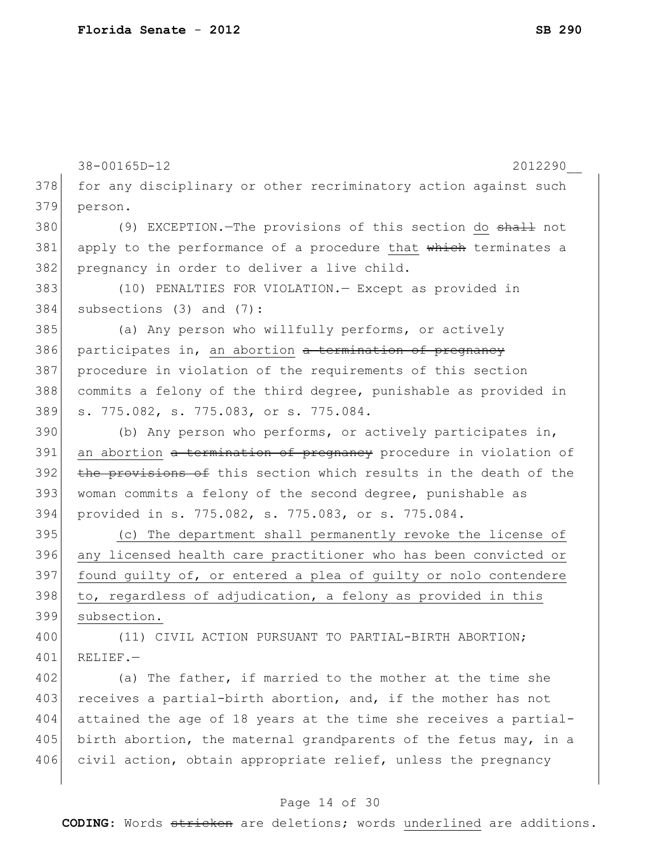38-00165D-12 2012290\_\_ 378 for any disciplinary or other recriminatory action against such 379 person. 380 (9) EXCEPTION.—The provisions of this section do shall not 381 apply to the performance of a procedure that which terminates a 382 pregnancy in order to deliver a live child. 383 (10) PENALTIES FOR VIOLATION.— Except as provided in 384 subsections (3) and (7): 385 (a) Any person who willfully performs, or actively 386 participates in, an abortion a termination of pregnancy 387 procedure in violation of the requirements of this section 388 commits a felony of the third degree, punishable as provided in 389 s. 775.082, s. 775.083, or s. 775.084. 390 (b) Any person who performs, or actively participates in, 391 an abortion a termination of pregnancy procedure in violation of 392 the provisions of this section which results in the death of the 393 woman commits a felony of the second degree, punishable as 394 provided in s. 775.082, s. 775.083, or s. 775.084. 395 (c) The department shall permanently revoke the license of 396 any licensed health care practitioner who has been convicted or 397 found guilty of, or entered a plea of guilty or nolo contendere  $398$  to, regardless of adjudication, a felony as provided in this 399 subsection. 400 (11) CIVIL ACTION PURSUANT TO PARTIAL-BIRTH ABORTION;  $401$  RELIEF. - $402$  (a) The father, if married to the mother at the time she 403 receives a partial-birth abortion, and, if the mother has not 404 attained the age of 18 years at the time she receives a partial-405 birth abortion, the maternal grandparents of the fetus may, in a 406 civil action, obtain appropriate relief, unless the pregnancy

#### Page 14 of 30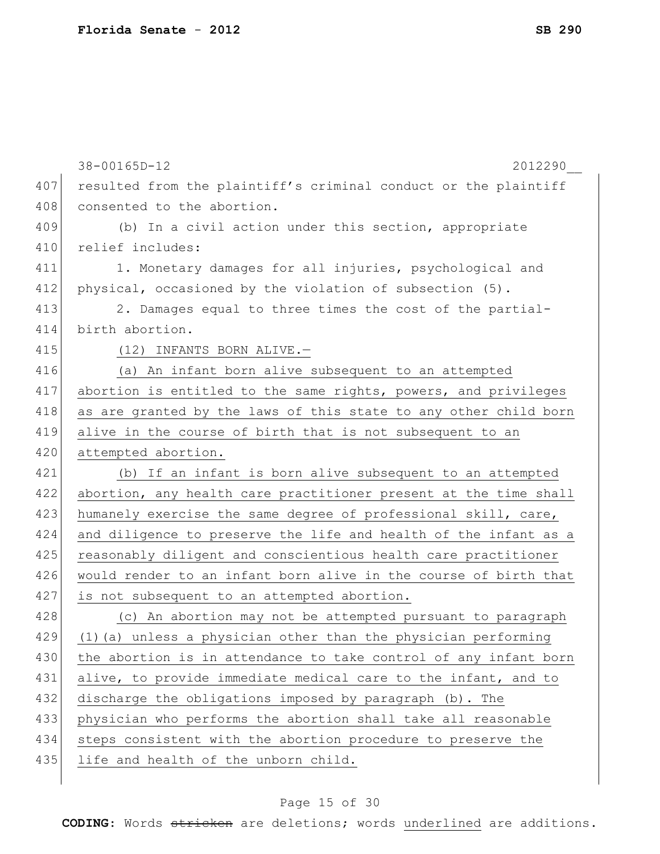|     | 38-00165D-12<br>2012290                                          |
|-----|------------------------------------------------------------------|
| 407 | resulted from the plaintiff's criminal conduct or the plaintiff  |
| 408 | consented to the abortion.                                       |
| 409 | (b) In a civil action under this section, appropriate            |
| 410 | relief includes:                                                 |
| 411 | 1. Monetary damages for all injuries, psychological and          |
| 412 | physical, occasioned by the violation of subsection (5).         |
| 413 | 2. Damages equal to three times the cost of the partial-         |
| 414 | birth abortion.                                                  |
| 415 | (12) INFANTS BORN ALIVE.-                                        |
| 416 | (a) An infant born alive subsequent to an attempted              |
| 417 | abortion is entitled to the same rights, powers, and privileges  |
| 418 | as are granted by the laws of this state to any other child born |
| 419 | alive in the course of birth that is not subsequent to an        |
| 420 | attempted abortion.                                              |
| 421 | (b) If an infant is born alive subsequent to an attempted        |
| 422 | abortion, any health care practitioner present at the time shall |
| 423 | humanely exercise the same degree of professional skill, care,   |
| 424 | and diligence to preserve the life and health of the infant as a |
| 425 | reasonably diligent and conscientious health care practitioner   |
| 426 | would render to an infant born alive in the course of birth that |
| 427 | is not subsequent to an attempted abortion.                      |
| 428 | (c) An abortion may not be attempted pursuant to paragraph       |
| 429 | (1) (a) unless a physician other than the physician performing   |
| 430 | the abortion is in attendance to take control of any infant born |
| 431 | alive, to provide immediate medical care to the infant, and to   |
| 432 | discharge the obligations imposed by paragraph (b). The          |
| 433 | physician who performs the abortion shall take all reasonable    |
| 434 | steps consistent with the abortion procedure to preserve the     |
| 435 | life and health of the unborn child.                             |
|     |                                                                  |

# Page 15 of 30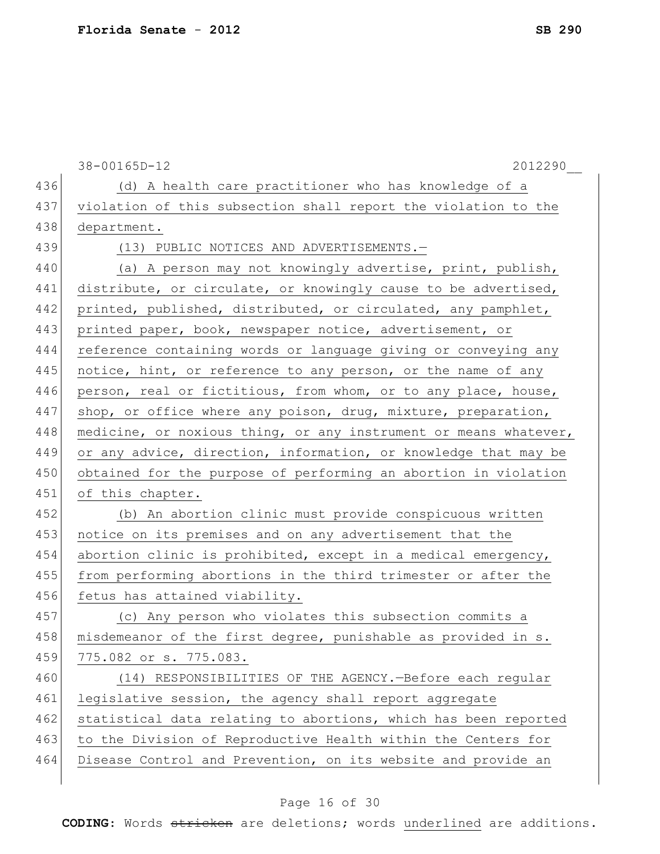|     | $38 - 00165D - 12$<br>2012290                                    |
|-----|------------------------------------------------------------------|
| 436 | (d) A health care practitioner who has knowledge of a            |
| 437 | violation of this subsection shall report the violation to the   |
| 438 | department.                                                      |
| 439 | (13) PUBLIC NOTICES AND ADVERTISEMENTS.-                         |
| 440 | (a) A person may not knowingly advertise, print, publish,        |
| 441 | distribute, or circulate, or knowingly cause to be advertised,   |
| 442 | printed, published, distributed, or circulated, any pamphlet,    |
| 443 | printed paper, book, newspaper notice, advertisement, or         |
| 444 | reference containing words or language giving or conveying any   |
| 445 | notice, hint, or reference to any person, or the name of any     |
| 446 | person, real or fictitious, from whom, or to any place, house,   |
| 447 | shop, or office where any poison, drug, mixture, preparation,    |
| 448 | medicine, or noxious thing, or any instrument or means whatever, |
| 449 | or any advice, direction, information, or knowledge that may be  |
| 450 | obtained for the purpose of performing an abortion in violation  |
| 451 | of this chapter.                                                 |
| 452 | (b) An abortion clinic must provide conspicuous written          |
| 453 | notice on its premises and on any advertisement that the         |
| 454 | abortion clinic is prohibited, except in a medical emergency,    |
| 455 | from performing abortions in the third trimester or after the    |
| 456 | fetus has attained viability.                                    |
| 457 | (c) Any person who violates this subsection commits a            |
| 458 | misdemeanor of the first degree, punishable as provided in s.    |
| 459 | 775.082 or s. 775.083.                                           |
| 460 | (14) RESPONSIBILITIES OF THE AGENCY. - Before each regular       |
| 461 | legislative session, the agency shall report aggregate           |
| 462 | statistical data relating to abortions, which has been reported  |
| 463 | to the Division of Reproductive Health within the Centers for    |
| 464 | Disease Control and Prevention, on its website and provide an    |
|     |                                                                  |

# Page 16 of 30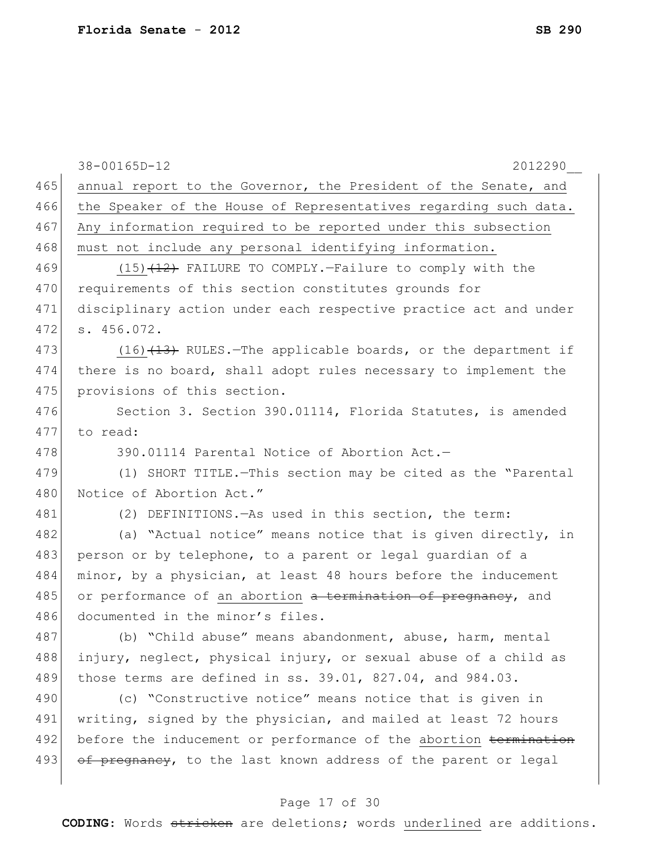|     | 38-00165D-12<br>2012290                                            |
|-----|--------------------------------------------------------------------|
| 465 | annual report to the Governor, the President of the Senate, and    |
| 466 | the Speaker of the House of Representatives regarding such data.   |
| 467 | Any information required to be reported under this subsection      |
| 468 | must not include any personal identifying information.             |
| 469 | $(15)$ $(12)$ FAILURE TO COMPLY.-Failure to comply with the        |
| 470 | requirements of this section constitutes grounds for               |
| 471 | disciplinary action under each respective practice act and under   |
| 472 | s. 456.072.                                                        |
| 473 | $(16)$ $(13)$ RULES.-The applicable boards, or the department if   |
| 474 | there is no board, shall adopt rules necessary to implement the    |
| 475 | provisions of this section.                                        |
| 476 | Section 3. Section 390.01114, Florida Statutes, is amended         |
| 477 | to read:                                                           |
| 478 | 390.01114 Parental Notice of Abortion Act.-                        |
| 479 | (1) SHORT TITLE. - This section may be cited as the "Parental      |
| 480 | Notice of Abortion Act."                                           |
| 481 | (2) DEFINITIONS. - As used in this section, the term:              |
| 482 | (a) "Actual notice" means notice that is given directly, in        |
| 483 | person or by telephone, to a parent or legal quardian of a         |
| 484 | minor, by a physician, at least 48 hours before the inducement     |
| 485 | or performance of an abortion a termination of pregnancy, and      |
| 486 | documented in the minor's files.                                   |
| 487 | (b) "Child abuse" means abandonment, abuse, harm, mental           |
| 488 | injury, neglect, physical injury, or sexual abuse of a child as    |
| 489 | those terms are defined in ss. $39.01$ , $827.04$ , and $984.03$ . |
| 490 | (c) "Constructive notice" means notice that is given in            |
| 491 | writing, signed by the physician, and mailed at least 72 hours     |
| 492 | before the inducement or performance of the abortion termination   |
| 493 | of pregnancy, to the last known address of the parent or legal     |
|     |                                                                    |

# Page 17 of 30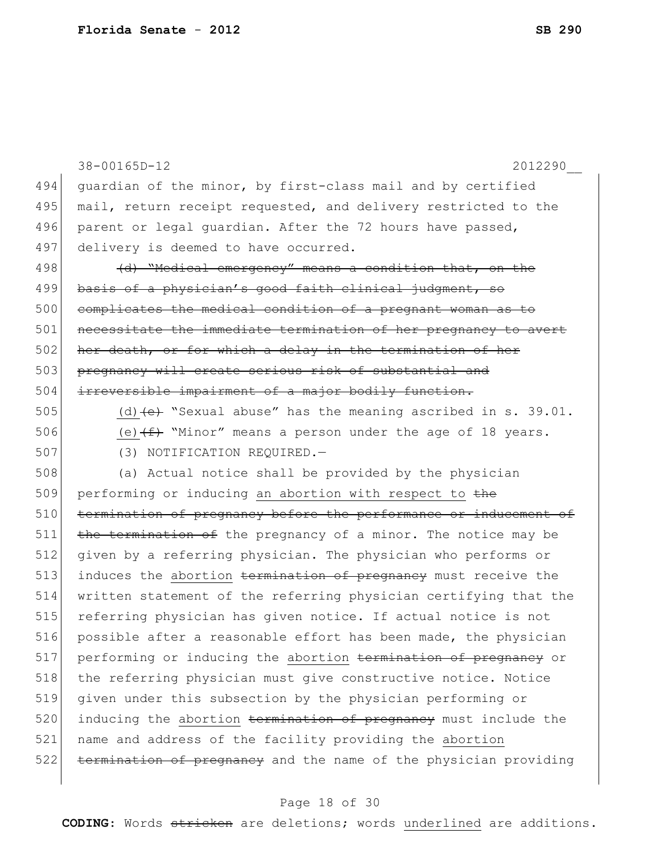|     | 38-00165D-12<br>2012290                                                          |
|-----|----------------------------------------------------------------------------------|
| 494 | guardian of the minor, by first-class mail and by certified                      |
| 495 | mail, return receipt requested, and delivery restricted to the                   |
| 496 | parent or legal quardian. After the 72 hours have passed,                        |
| 497 | delivery is deemed to have occurred.                                             |
| 498 | (d) "Medical emergency" means a condition that, on the                           |
| 499 | basis of a physician's good faith clinical judgment, so                          |
| 500 | complicates the medical condition of a pregnant woman as to                      |
| 501 | necessitate the immediate termination of her pregnancy to avert                  |
| 502 | her death, or for which a delay in the termination of her                        |
| 503 | pregnancy will create serious risk of substantial and                            |
| 504 | irreversible impairment of a major bodily function.                              |
| 505 | (d) $\left(\text{e}\right)$ "Sexual abuse" has the meaning ascribed in s. 39.01. |
| 506 | (e) $(f+$ "Minor" means a person under the age of 18 years.                      |
| 507 | (3) NOTIFICATION REQUIRED. -                                                     |
| 508 | (a) Actual notice shall be provided by the physician                             |
| 509 | performing or inducing an abortion with respect to the                           |
| 510 | termination of pregnancy before the performance or inducement of                 |
| 511 | the termination of the pregnancy of a minor. The notice may be                   |
| 512 | given by a referring physician. The physician who performs or                    |
| 513 | induces the abortion termination of pregnancy must receive the                   |
| 514 | written statement of the referring physician certifying that the                 |
| 515 | referring physician has given notice. If actual notice is not                    |
| 516 | possible after a reasonable effort has been made, the physician                  |
| 517 | performing or inducing the abortion termination of pregnancy or                  |
| 518 | the referring physician must give constructive notice. Notice                    |
| 519 | given under this subsection by the physician performing or                       |
| 520 | inducing the abortion termination of pregnancy must include the                  |
| 521 | name and address of the facility providing the abortion                          |
| 522 | termination of pregnancy and the name of the physician providing                 |
|     |                                                                                  |

# Page 18 of 30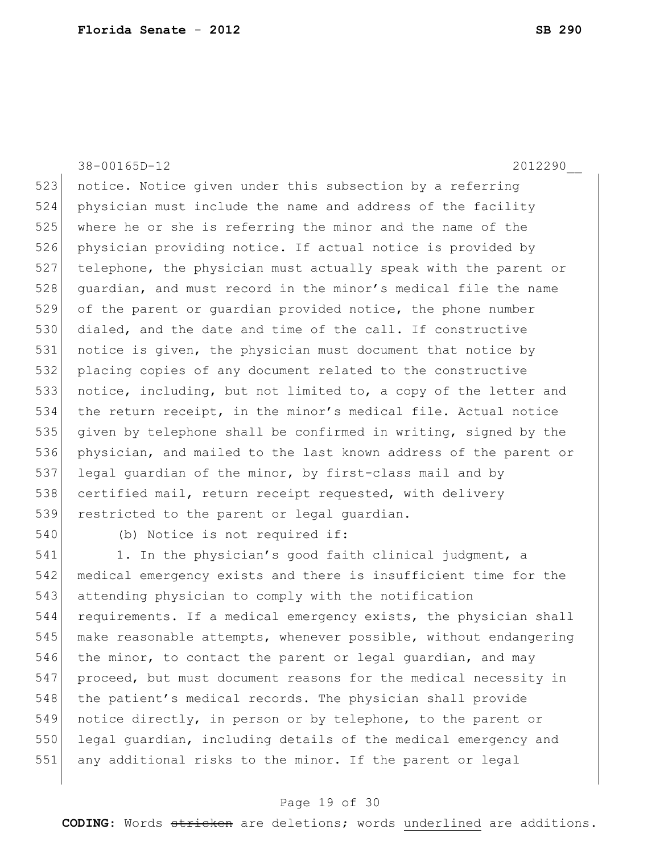38-00165D-12 2012290\_\_

523 notice. Notice given under this subsection by a referring 524 physician must include the name and address of the facility 525 where he or she is referring the minor and the name of the 526 physician providing notice. If actual notice is provided by 527 telephone, the physician must actually speak with the parent or 528 guardian, and must record in the minor's medical file the name 529 of the parent or quardian provided notice, the phone number 530 dialed, and the date and time of the call. If constructive 531 notice is given, the physician must document that notice by 532 placing copies of any document related to the constructive 533 notice, including, but not limited to, a copy of the letter and 534 the return receipt, in the minor's medical file. Actual notice 535 given by telephone shall be confirmed in writing, signed by the 536 physician, and mailed to the last known address of the parent or 537 legal guardian of the minor, by first-class mail and by 538 certified mail, return receipt requested, with delivery 539 restricted to the parent or legal quardian.

540 (b) Notice is not required if:

541 1. In the physician's good faith clinical judgment, a 542 medical emergency exists and there is insufficient time for the 543 attending physician to comply with the notification 544 requirements. If a medical emergency exists, the physician shall 545 make reasonable attempts, whenever possible, without endangering 546 the minor, to contact the parent or legal quardian, and may 547 proceed, but must document reasons for the medical necessity in 548 the patient's medical records. The physician shall provide 549 notice directly, in person or by telephone, to the parent or 550 legal guardian, including details of the medical emergency and 551 any additional risks to the minor. If the parent or legal

#### Page 19 of 30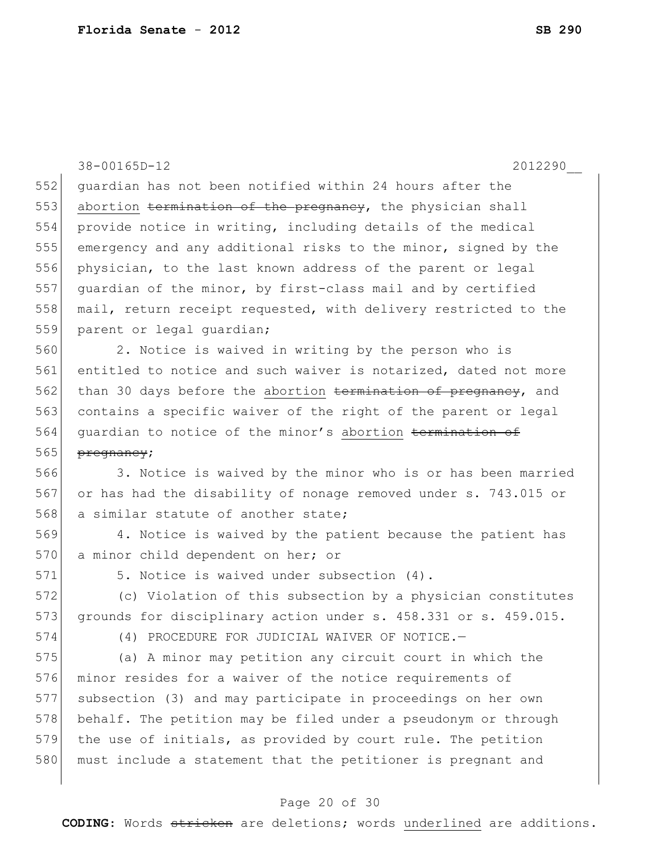38-00165D-12 2012290\_\_ 552 guardian has not been notified within 24 hours after the 553 abortion termination of the pregnancy, the physician shall 554 provide notice in writing, including details of the medical 555 emergency and any additional risks to the minor, signed by the 556 physician, to the last known address of the parent or legal 557 guardian of the minor, by first-class mail and by certified 558 mail, return receipt requested, with delivery restricted to the 559 parent or legal quardian; 560 2. Notice is waived in writing by the person who is 561 entitled to notice and such waiver is notarized, dated not more 562 than 30 days before the abortion termination of pregnancy, and 563 contains a specific waiver of the right of the parent or legal 564 quardian to notice of the minor's abortion termination of

565 <del>pregnancy</del>;

566 3. Notice is waived by the minor who is or has been married 567 or has had the disability of nonage removed under s. 743.015 or 568 a similar statute of another state;

569 4. Notice is waived by the patient because the patient has 570 a minor child dependent on her; or

571 5. Notice is waived under subsection (4).

572 (c) Violation of this subsection by a physician constitutes 573 grounds for disciplinary action under s. 458.331 or s. 459.015.

574 (4) PROCEDURE FOR JUDICIAL WAIVER OF NOTICE.—

 (a) A minor may petition any circuit court in which the minor resides for a waiver of the notice requirements of subsection (3) and may participate in proceedings on her own 578 behalf. The petition may be filed under a pseudonym or through the use of initials, as provided by court rule. The petition 580 must include a statement that the petitioner is pregnant and

#### Page 20 of 30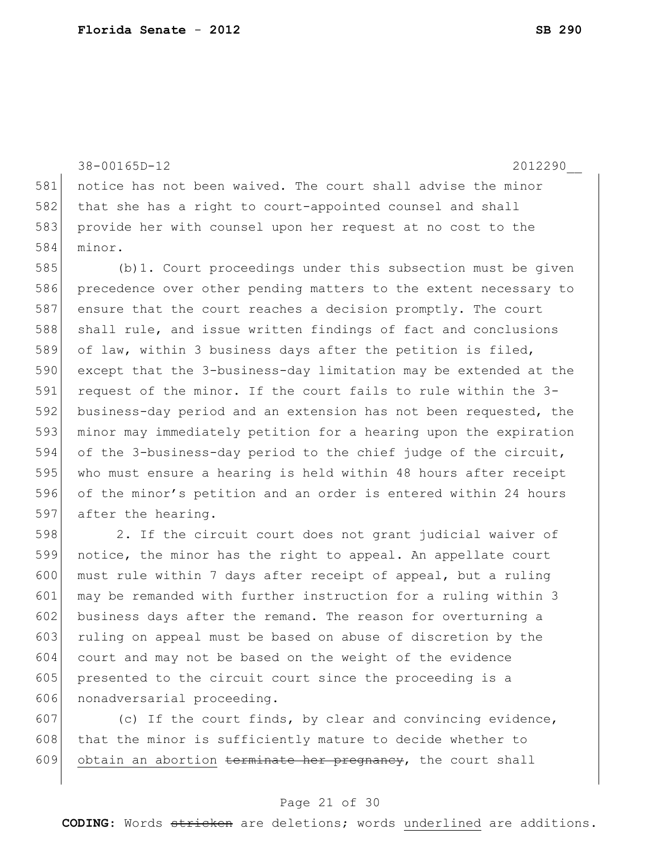38-00165D-12 2012290\_\_

581 notice has not been waived. The court shall advise the minor 582 that she has a right to court-appointed counsel and shall 583 provide her with counsel upon her request at no cost to the 584 minor.

 (b)1. Court proceedings under this subsection must be given precedence over other pending matters to the extent necessary to 587 ensure that the court reaches a decision promptly. The court 588 shall rule, and issue written findings of fact and conclusions 589 of law, within 3 business days after the petition is filed, except that the 3-business-day limitation may be extended at the 591 request of the minor. If the court fails to rule within the 3- business-day period and an extension has not been requested, the minor may immediately petition for a hearing upon the expiration of the 3-business-day period to the chief judge of the circuit, who must ensure a hearing is held within 48 hours after receipt of the minor's petition and an order is entered within 24 hours 597 after the hearing.

 2. If the circuit court does not grant judicial waiver of notice, the minor has the right to appeal. An appellate court 600 must rule within 7 days after receipt of appeal, but a ruling 601 may be remanded with further instruction for a ruling within 3 business days after the remand. The reason for overturning a ruling on appeal must be based on abuse of discretion by the court and may not be based on the weight of the evidence presented to the circuit court since the proceeding is a 606 nonadversarial proceeding.

607 (c) If the court finds, by clear and convincing evidence, 608 that the minor is sufficiently mature to decide whether to 609 obtain an abortion terminate her pregnancy, the court shall

#### Page 21 of 30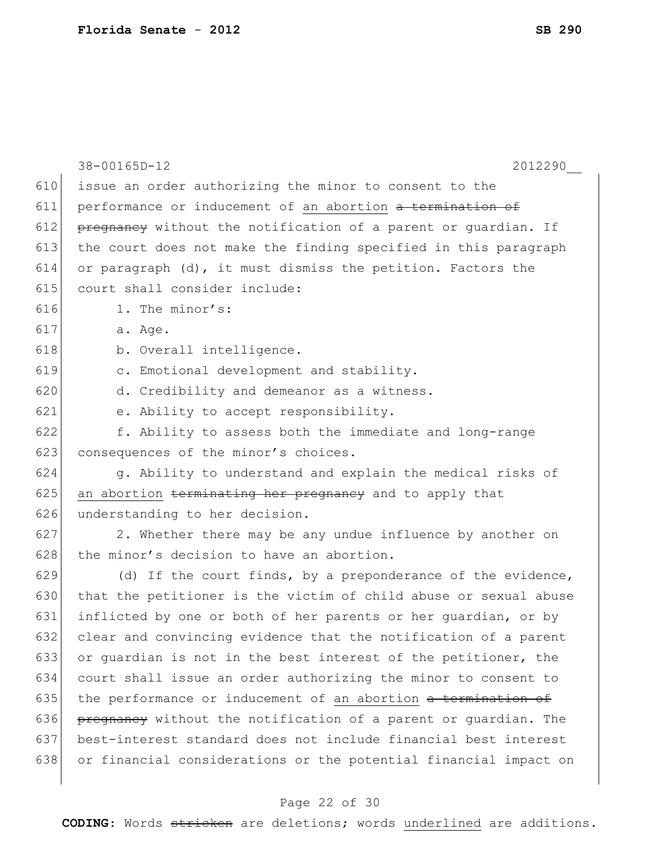|     | 2012290<br>38-00165D-12                                          |
|-----|------------------------------------------------------------------|
| 610 | issue an order authorizing the minor to consent to the           |
| 611 | performance or inducement of an abortion a termination of        |
| 612 | pregnancy without the notification of a parent or quardian. If   |
| 613 | the court does not make the finding specified in this paragraph  |
| 614 | or paragraph (d), it must dismiss the petition. Factors the      |
| 615 | court shall consider include:                                    |
| 616 | 1. The minor's:                                                  |
| 617 | a. Age.                                                          |
| 618 | b. Overall intelligence.                                         |
| 619 | c. Emotional development and stability.                          |
| 620 | d. Credibility and demeanor as a witness.                        |
| 621 | e. Ability to accept responsibility.                             |
| 622 | f. Ability to assess both the immediate and long-range           |
| 623 | consequences of the minor's choices.                             |
| 624 | g. Ability to understand and explain the medical risks of        |
| 625 | an abortion terminating her pregnancy and to apply that          |
| 626 | understanding to her decision.                                   |
| 627 | 2. Whether there may be any undue influence by another on        |
| 628 | the minor's decision to have an abortion.                        |
| 629 | (d) If the court finds, by a preponderance of the evidence,      |
| 630 | that the petitioner is the victim of child abuse or sexual abuse |
| 631 | inflicted by one or both of her parents or her quardian, or by   |
| 632 | clear and convincing evidence that the notification of a parent  |
| 633 | or guardian is not in the best interest of the petitioner, the   |
| 634 | court shall issue an order authorizing the minor to consent to   |
| 635 | the performance or inducement of an abortion a termination of    |
| 636 | pregnancy without the notification of a parent or quardian. The  |
| 637 | best-interest standard does not include financial best interest  |
| 638 | or financial considerations or the potential financial impact on |
|     |                                                                  |

# Page 22 of 30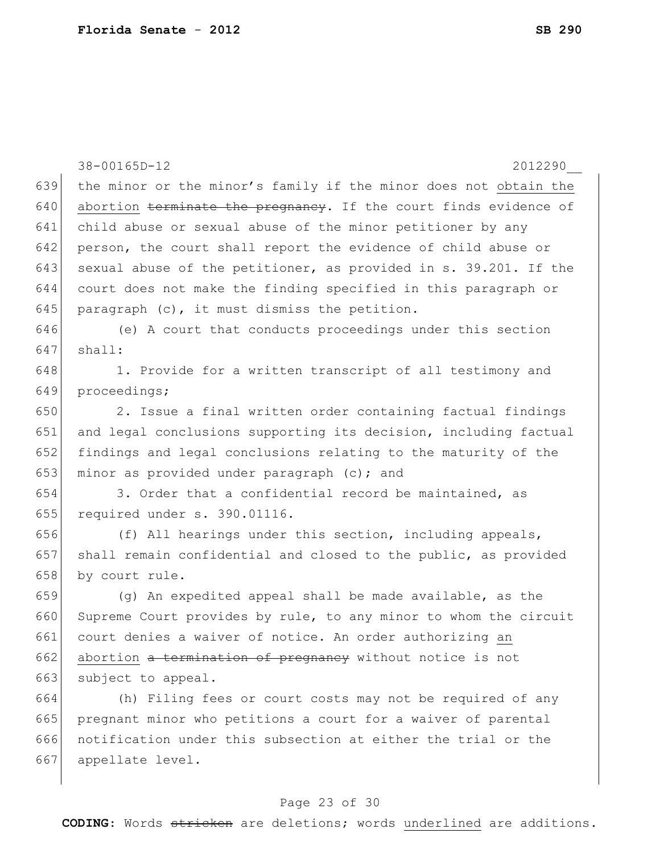38-00165D-12 2012290\_\_ 639 the minor or the minor's family if the minor does not obtain the  $640$  abortion terminate the pregnancy. If the court finds evidence of 641 child abuse or sexual abuse of the minor petitioner by any 642 person, the court shall report the evidence of child abuse or 643 sexual abuse of the petitioner, as provided in s. 39.201. If the 644 court does not make the finding specified in this paragraph or 645 paragraph  $(c)$ , it must dismiss the petition. 646 (e) A court that conducts proceedings under this section  $647$  shall: 648 1. Provide for a written transcript of all testimony and 649 proceedings; 650 2. Issue a final written order containing factual findings 651 and legal conclusions supporting its decision, including factual 652 findings and legal conclusions relating to the maturity of the 653 minor as provided under paragraph  $(c)$ ; and  $654$  3. Order that a confidential record be maintained, as 655 required under s. 390.01116. 656  $(f)$  All hearings under this section, including appeals, 657 shall remain confidential and closed to the public, as provided 658 by court rule. 659  $(q)$  An expedited appeal shall be made available, as the 660 Supreme Court provides by rule, to any minor to whom the circuit 661 court denies a waiver of notice. An order authorizing an 662 abortion a termination of pregnancy without notice is not 663 subject to appeal. 664 (h) Filing fees or court costs may not be required of any 665 pregnant minor who petitions a court for a waiver of parental 666 notification under this subsection at either the trial or the 667 appellate level.

#### Page 23 of 30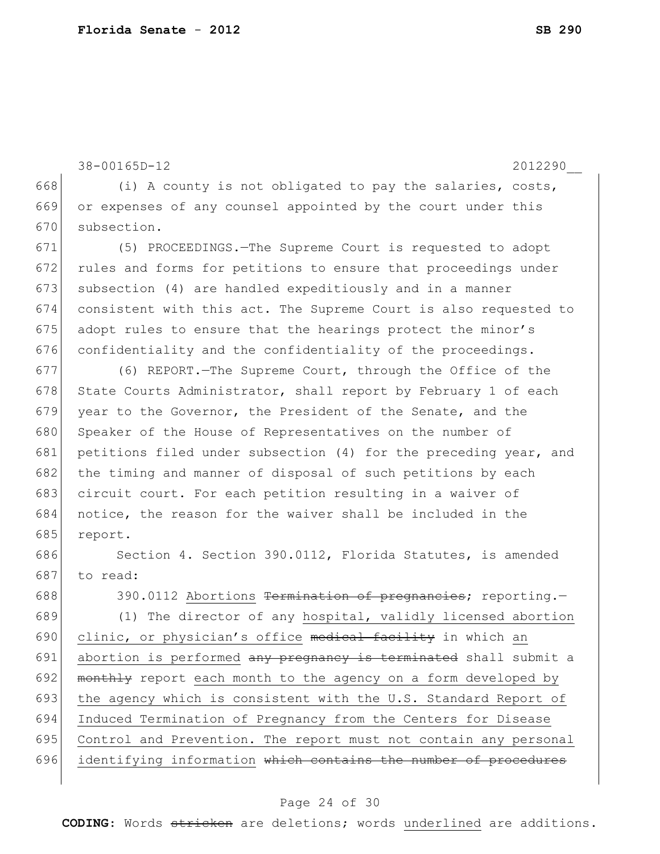38-00165D-12 2012290\_\_

668  $(i)$  A county is not obligated to pay the salaries, costs, 669 or expenses of any counsel appointed by the court under this 670 subsection.

671 (5) PROCEEDINGS.—The Supreme Court is requested to adopt 672 rules and forms for petitions to ensure that proceedings under 673 subsection (4) are handled expeditiously and in a manner 674 consistent with this act. The Supreme Court is also requested to 675 adopt rules to ensure that the hearings protect the minor's 676 confidentiality and the confidentiality of the proceedings.

677 (6) REPORT.—The Supreme Court, through the Office of the 678 State Courts Administrator, shall report by February 1 of each 679 year to the Governor, the President of the Senate, and the 680 Speaker of the House of Representatives on the number of 681 petitions filed under subsection (4) for the preceding year, and 682 the timing and manner of disposal of such petitions by each 683 circuit court. For each petition resulting in a waiver of 684 notice, the reason for the waiver shall be included in the 685 report.

686 Section 4. Section 390.0112, Florida Statutes, is amended 687 to read:

688 390.0112 Abortions Termination of pregnancies; reporting. 689 (1) The director of any hospital, validly licensed abortion 690 clinic, or physician's office medical facility in which an 691 abortion is performed any pregnancy is terminated shall submit a 692 monthly report each month to the agency on a form developed by 693 the agency which is consistent with the U.S. Standard Report of 694 Induced Termination of Pregnancy from the Centers for Disease 695 Control and Prevention. The report must not contain any personal 696 identifying information which contains the number of procedures

#### Page 24 of 30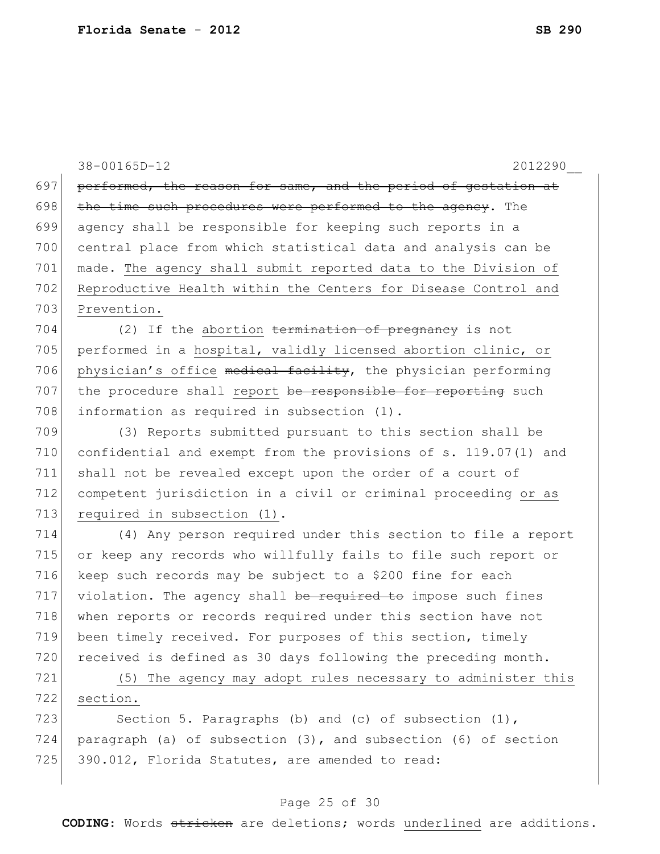38-00165D-12 2012290\_\_ 697 performed, the reason for same, and the period of gestation at  $698$  the time such procedures were performed to the agency. The 699 agency shall be responsible for keeping such reports in a 700 central place from which statistical data and analysis can be 701 made. The agency shall submit reported data to the Division of 702 Reproductive Health within the Centers for Disease Control and 703 Prevention. 704 (2) If the abortion termination of pregnancy is not 705 performed in a hospital, validly licensed abortion clinic, or 706 physician's office medical facility, the physician performing 707 the procedure shall report be responsible for reporting such 708 information as required in subsection (1). 709 (3) Reports submitted pursuant to this section shall be 710 confidential and exempt from the provisions of s. 119.07(1) and

711 shall not be revealed except upon the order of a court of 712 competent jurisdiction in a civil or criminal proceeding or as 713 required in subsection (1).

714 (4) Any person required under this section to file a report 715 or keep any records who willfully fails to file such report or 716 keep such records may be subject to a \$200 fine for each  $717$  violation. The agency shall be required to impose such fines 718 when reports or records required under this section have not 719 been timely received. For purposes of this section, timely 720 received is defined as 30 days following the preceding month.

721 (5) The agency may adopt rules necessary to administer this 722 section.

723 Section 5. Paragraphs (b) and (c) of subsection (1), 724 paragraph (a) of subsection (3), and subsection (6) of section 725 390.012, Florida Statutes, are amended to read:

#### Page 25 of 30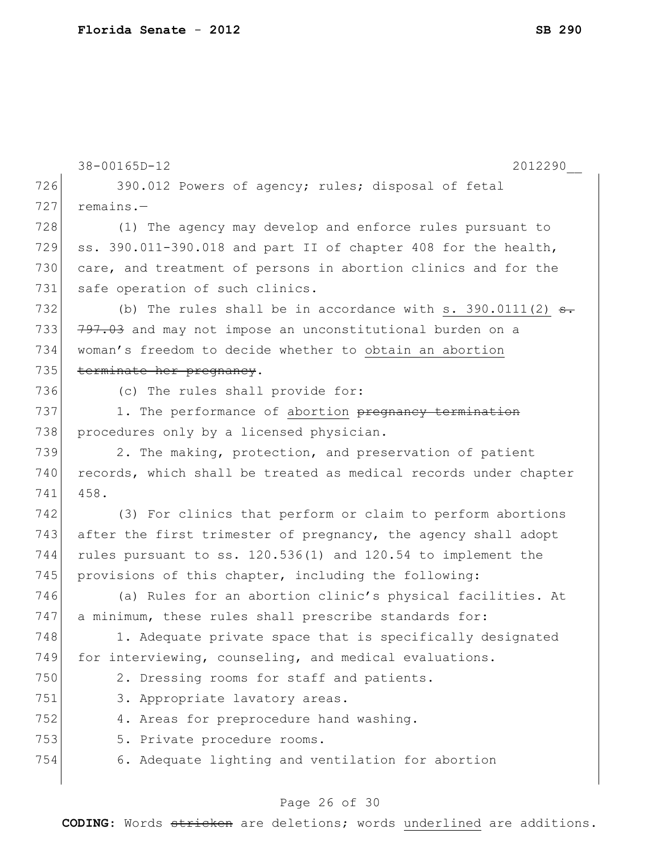|     | 38-00165D-12<br>2012290                                             |
|-----|---------------------------------------------------------------------|
| 726 | 390.012 Powers of agency; rules; disposal of fetal                  |
| 727 | $remains.$ -                                                        |
| 728 | (1) The agency may develop and enforce rules pursuant to            |
| 729 | ss. 390.011-390.018 and part II of chapter 408 for the health,      |
| 730 | care, and treatment of persons in abortion clinics and for the      |
| 731 | safe operation of such clinics.                                     |
| 732 | (b) The rules shall be in accordance with s. 390.0111(2) $\theta$ . |
| 733 | 797.03 and may not impose an unconstitutional burden on a           |
| 734 | woman's freedom to decide whether to obtain an abortion             |
| 735 | terminate her pregnancy.                                            |
| 736 | (c) The rules shall provide for:                                    |
| 737 | 1. The performance of abortion pregnancy termination                |
| 738 | procedures only by a licensed physician.                            |
| 739 | 2. The making, protection, and preservation of patient              |
| 740 | records, which shall be treated as medical records under chapter    |
| 741 | 458.                                                                |
| 742 | (3) For clinics that perform or claim to perform abortions          |
| 743 | after the first trimester of pregnancy, the agency shall adopt      |
| 744 | rules pursuant to ss. 120.536(1) and 120.54 to implement the        |
| 745 | provisions of this chapter, including the following:                |
| 746 | (a) Rules for an abortion clinic's physical facilities. At          |
| 747 | a minimum, these rules shall prescribe standards for:               |
| 748 | 1. Adequate private space that is specifically designated           |
| 749 | for interviewing, counseling, and medical evaluations.              |
| 750 | 2. Dressing rooms for staff and patients.                           |
| 751 | 3. Appropriate lavatory areas.                                      |
| 752 | 4. Areas for preprocedure hand washing.                             |
| 753 | 5. Private procedure rooms.                                         |
| 754 | 6. Adequate lighting and ventilation for abortion                   |

# Page 26 of 30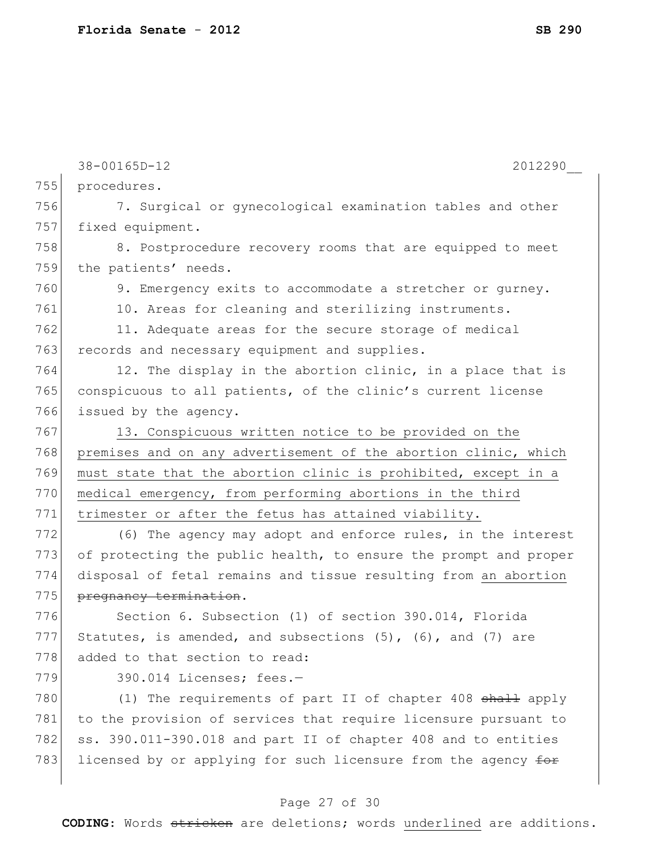|     | 38-00165D-12<br>2012290                                          |
|-----|------------------------------------------------------------------|
| 755 | procedures.                                                      |
| 756 | 7. Surgical or gynecological examination tables and other        |
| 757 | fixed equipment.                                                 |
| 758 | 8. Postprocedure recovery rooms that are equipped to meet        |
| 759 | the patients' needs.                                             |
| 760 | 9. Emergency exits to accommodate a stretcher or gurney.         |
| 761 | 10. Areas for cleaning and sterilizing instruments.              |
| 762 | 11. Adequate areas for the secure storage of medical             |
| 763 | records and necessary equipment and supplies.                    |
| 764 | 12. The display in the abortion clinic, in a place that is       |
| 765 | conspicuous to all patients, of the clinic's current license     |
| 766 | issued by the agency.                                            |
| 767 | 13. Conspicuous written notice to be provided on the             |
| 768 | premises and on any advertisement of the abortion clinic, which  |
| 769 | must state that the abortion clinic is prohibited, except in a   |
| 770 | medical emergency, from performing abortions in the third        |
| 771 | trimester or after the fetus has attained viability.             |
| 772 | (6) The agency may adopt and enforce rules, in the interest      |
| 773 | of protecting the public health, to ensure the prompt and proper |
| 774 | disposal of fetal remains and tissue resulting from an abortion  |
| 775 | pregnancy termination.                                           |
| 776 | Section 6. Subsection (1) of section 390.014, Florida            |
| 777 | Statutes, is amended, and subsections (5), (6), and (7) are      |
| 778 | added to that section to read:                                   |
| 779 | 390.014 Licenses; fees.-                                         |
| 780 | (1) The requirements of part II of chapter 408 shall apply       |
| 781 | to the provision of services that require licensure pursuant to  |
| 782 | ss. 390.011-390.018 and part II of chapter 408 and to entities   |
| 783 | licensed by or applying for such licensure from the agency for   |

# Page 27 of 30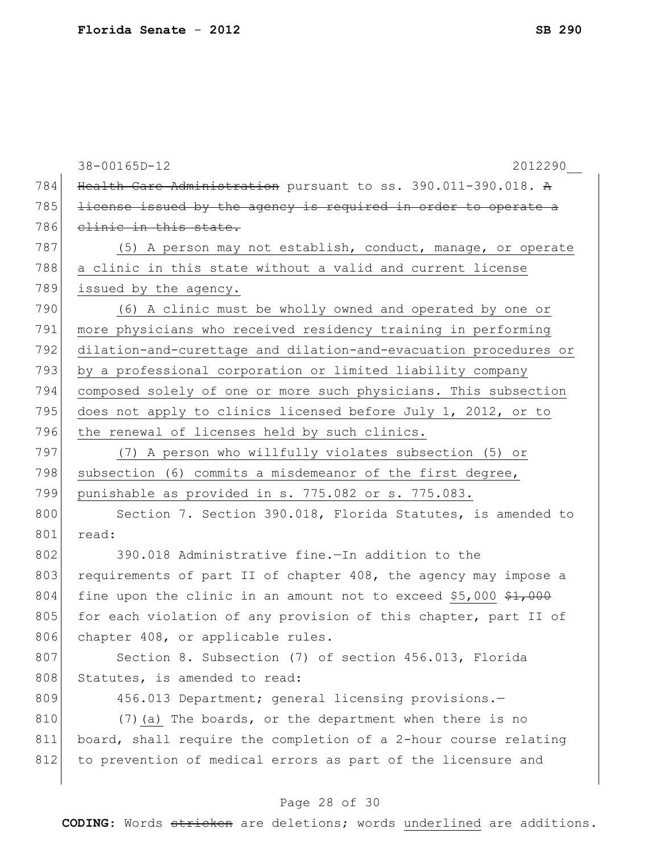|     | 38-00165D-12<br>2012290                                                     |
|-----|-----------------------------------------------------------------------------|
| 784 | Health Care Administration pursuant to ss. 390.011-390.018. A               |
| 785 | license issued by the agency is required in order to operate a              |
| 786 | elinic in this state.                                                       |
| 787 | (5) A person may not establish, conduct, manage, or operate                 |
| 788 | a clinic in this state without a valid and current license                  |
| 789 | issued by the agency.                                                       |
| 790 | (6) A clinic must be wholly owned and operated by one or                    |
| 791 | more physicians who received residency training in performing               |
| 792 | dilation-and-curettage and dilation-and-evacuation procedures or            |
| 793 | by a professional corporation or limited liability company                  |
| 794 | composed solely of one or more such physicians. This subsection             |
| 795 | does not apply to clinics licensed before July 1, 2012, or to               |
| 796 | the renewal of licenses held by such clinics.                               |
| 797 | (7) A person who willfully violates subsection (5) or                       |
| 798 | subsection (6) commits a misdemeanor of the first degree,                   |
| 799 | punishable as provided in s. 775.082 or s. 775.083.                         |
| 800 | Section 7. Section 390.018, Florida Statutes, is amended to                 |
| 801 | read:                                                                       |
| 802 | 390.018 Administrative fine.-In addition to the                             |
| 803 | requirements of part II of chapter 408, the agency may impose a             |
| 804 | fine upon the clinic in an amount not to exceed \$5,000 $\frac{1}{21}$ ,000 |
| 805 | for each violation of any provision of this chapter, part II of             |
| 806 | chapter 408, or applicable rules.                                           |
| 807 | Section 8. Subsection (7) of section 456.013, Florida                       |
| 808 | Statutes, is amended to read:                                               |
| 809 | 456.013 Department; general licensing provisions.-                          |
| 810 | (7) (a) The boards, or the department when there is no                      |
| 811 | board, shall require the completion of a 2-hour course relating             |
| 812 | to prevention of medical errors as part of the licensure and                |
|     |                                                                             |

# Page 28 of 30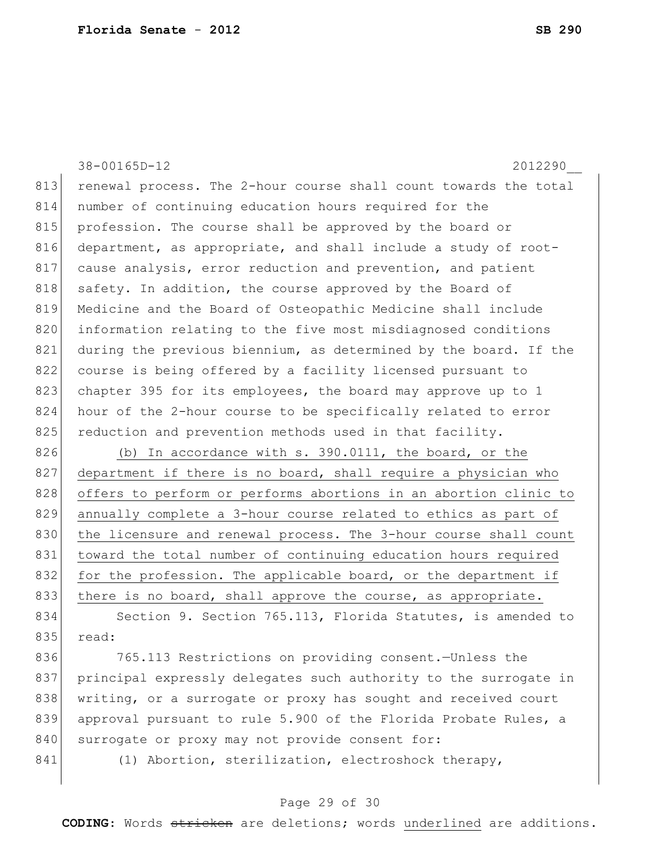38-00165D-12 2012290\_\_ 813 renewal process. The 2-hour course shall count towards the total 814 number of continuing education hours required for the 815 profession. The course shall be approved by the board or 816 department, as appropriate, and shall include a study of root-817 cause analysis, error reduction and prevention, and patient 818 safety. In addition, the course approved by the Board of 819 Medicine and the Board of Osteopathic Medicine shall include 820 information relating to the five most misdiagnosed conditions 821 during the previous biennium, as determined by the board. If the 822 course is being offered by a facility licensed pursuant to 823 chapter 395 for its employees, the board may approve up to 1 824 hour of the 2-hour course to be specifically related to error 825 reduction and prevention methods used in that facility.

826 (b) In accordance with s. 390.0111, the board, or the 827 department if there is no board, shall require a physician who 828 offers to perform or performs abortions in an abortion clinic to 829 annually complete a 3-hour course related to ethics as part of 830 the licensure and renewal process. The 3-hour course shall count 831 toward the total number of continuing education hours required 832 for the profession. The applicable board, or the department if 833 there is no board, shall approve the course, as appropriate.

834 Section 9. Section 765.113, Florida Statutes, is amended to  $835$  read:

836 765.113 Restrictions on providing consent. Unless the 837 principal expressly delegates such authority to the surrogate in 838 | writing, or a surrogate or proxy has sought and received court 839 approval pursuant to rule 5.900 of the Florida Probate Rules, a 840 surrogate or proxy may not provide consent for:

841 (1) Abortion, sterilization, electroshock therapy,

### Page 29 of 30